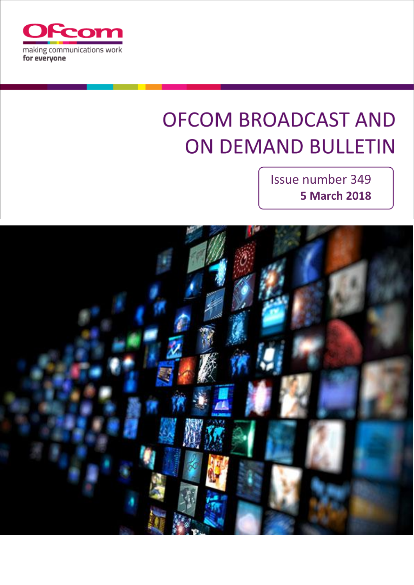

# **OFCOM BROADCAST AND ON DEMAND BULLETIN**

Issue number 349 **5 March 2018**

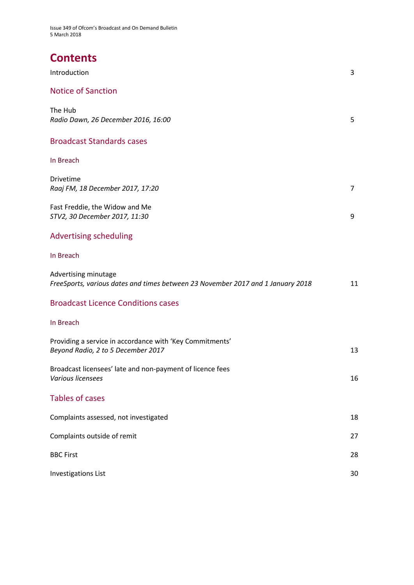Issue 349 of Ofcom's Broadcast and On Demand Bulletin 5 March 2018

# **Contents**

| Introduction                                                                                            | 3              |
|---------------------------------------------------------------------------------------------------------|----------------|
| <b>Notice of Sanction</b>                                                                               |                |
| The Hub<br>Radio Dawn, 26 December 2016, 16:00                                                          | 5              |
| <b>Broadcast Standards cases</b>                                                                        |                |
| In Breach                                                                                               |                |
| <b>Drivetime</b><br>Raaj FM, 18 December 2017, 17:20                                                    | $\overline{7}$ |
| Fast Freddie, the Widow and Me<br>STV2, 30 December 2017, 11:30                                         | 9              |
| <b>Advertising scheduling</b>                                                                           |                |
| In Breach                                                                                               |                |
| Advertising minutage<br>FreeSports, various dates and times between 23 November 2017 and 1 January 2018 | 11             |
| <b>Broadcast Licence Conditions cases</b>                                                               |                |
| In Breach                                                                                               |                |
| Providing a service in accordance with 'Key Commitments'<br>Beyond Radio, 2 to 5 December 2017          | 13             |
| Broadcast licensees' late and non-payment of licence fees<br>Various licensees                          | 16             |
| <b>Tables of cases</b>                                                                                  |                |
| Complaints assessed, not investigated                                                                   | 18             |
| Complaints outside of remit                                                                             | 27             |
| <b>BBC First</b>                                                                                        | 28             |
| <b>Investigations List</b>                                                                              | 30             |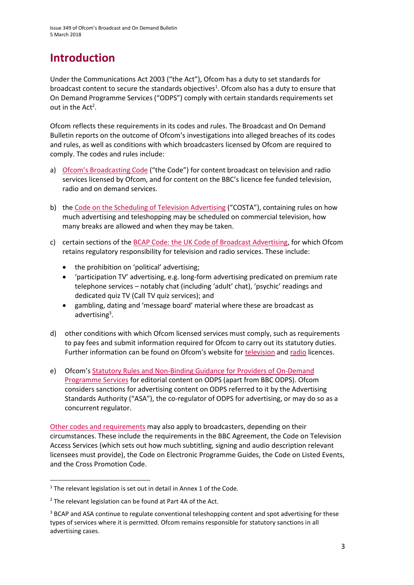# **Introduction**

Under the Communications Act 2003 ("the Act"), Ofcom has a duty to set standards for broadcast content to secure the standards objectives<sup>1</sup>. Ofcom also has a duty to ensure that On Demand Programme Services ("ODPS") comply with certain standards requirements set out in the  $Act^2$ .

Ofcom reflects these requirements in its codes and rules. The Broadcast and On Demand Bulletin reports on the outcome of Ofcom's investigations into alleged breaches of its codes and rules, as well as conditions with which broadcasters licensed by Ofcom are required to comply. The codes and rules include:

- a) [Ofcom's Broadcasting Code](http://stakeholders.ofcom.org.uk/broadcasting/broadcast-codes/broadcast-code/) ("the Code") for content broadcast on television and radio services licensed by Ofcom, and for content on the BBC's licence fee funded television, radio and on demand services.
- b) the [Code on the Scheduling of Television Advertising](https://www.ofcom.org.uk/__data/assets/pdf_file/0014/32162/costa-april-2016.pdf) ("COSTA"), containing rules on how much advertising and teleshopping may be scheduled on commercial television, how many breaks are allowed and when they may be taken.
- c) certain sections of th[e BCAP Code: the UK Code of Broadcast Advertising,](https://www.cap.org.uk/Advertising-Codes/Broadcast.aspx) for which Ofcom retains regulatory responsibility for television and radio services. These include:
	- the prohibition on 'political' advertising;
	- 'participation TV' advertising, e.g. long-form advertising predicated on premium rate telephone services – notably chat (including 'adult' chat), 'psychic' readings and dedicated quiz TV (Call TV quiz services); and
	- gambling, dating and 'message board' material where these are broadcast as advertising<sup>3</sup>.
- d) other conditions with which Ofcom licensed services must comply, such as requirements to pay fees and submit information required for Ofcom to carry out its statutory duties. Further information can be found on Ofcom's website for [television](http://licensing.ofcom.org.uk/tv-broadcast-licences/) and [radio](http://licensing.ofcom.org.uk/radio-broadcast-licensing/) licences.
- e) Ofcom's [Statutory Rules and Non-Binding Guidance for Providers of On-Demand](http://stakeholders.ofcom.org.uk/binaries/broadcast/on-demand/rules-guidance/rules_and_guidance.pdf)  [Programme Services](http://stakeholders.ofcom.org.uk/binaries/broadcast/on-demand/rules-guidance/rules_and_guidance.pdf) for editorial content on ODPS (apart from BBC ODPS). Ofcom considers sanctions for advertising content on ODPS referred to it by the Advertising Standards Authority ("ASA"), the co-regulator of ODPS for advertising, or may do so as a concurrent regulator.

[Other codes and requirements](http://stakeholders.ofcom.org.uk/broadcasting/broadcast-codes/) may also apply to broadcasters, depending on their circumstances. These include the requirements in the BBC Agreement, the Code on Television Access Services (which sets out how much subtitling, signing and audio description relevant licensees must provide), the Code on Electronic Programme Guides, the Code on Listed Events, and the Cross Promotion Code.

**.** 

<sup>&</sup>lt;sup>1</sup> The relevant legislation is set out in detail in Annex 1 of the Code.

<sup>&</sup>lt;sup>2</sup> The relevant legislation can be found at Part 4A of the Act.

<sup>&</sup>lt;sup>3</sup> BCAP and ASA continue to regulate conventional teleshopping content and spot advertising for these types of services where it is permitted. Ofcom remains responsible for statutory sanctions in all advertising cases.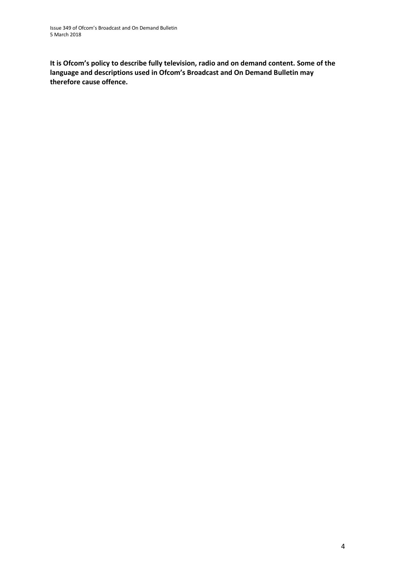**It is Ofcom's policy to describe fully television, radio and on demand content. Some of the language and descriptions used in Ofcom's Broadcast and On Demand Bulletin may therefore cause offence.**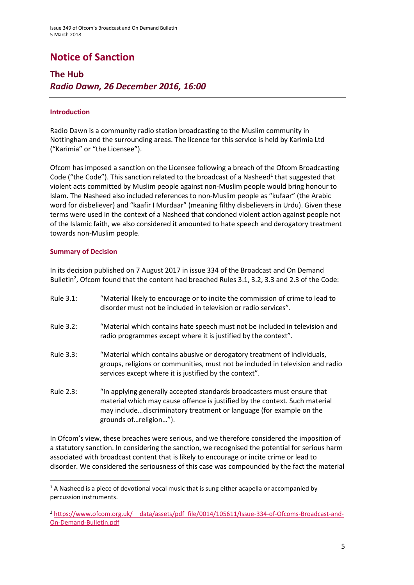# **Notice of Sanction**

### **The Hub** *Radio Dawn, 26 December 2016, 16:00*

### **Introduction**

Radio Dawn is a community radio station broadcasting to the Muslim community in Nottingham and the surrounding areas. The licence for this service is held by Karimia Ltd ("Karimia" or "the Licensee").

Ofcom has imposed a sanction on the Licensee following a breach of the Ofcom Broadcasting Code ("the Code"). This sanction related to the broadcast of a Nasheed<sup>1</sup> that suggested that violent acts committed by Muslim people against non-Muslim people would bring honour to Islam. The Nasheed also included references to non-Muslim people as "kufaar" (the Arabic word for disbeliever) and "kaafir I Murdaar" (meaning filthy disbelievers in Urdu). Given these terms were used in the context of a Nasheed that condoned violent action against people not of the Islamic faith, we also considered it amounted to hate speech and derogatory treatment towards non-Muslim people.

### **Summary of Decision**

**.** 

In its decision published on 7 August 2017 in issue 334 of the Broadcast and On Demand Bulletin<sup>2</sup>, Ofcom found that the content had breached Rules 3.1, 3.2, 3.3 and 2.3 of the Code:

| Rule 3.1: | "Material likely to encourage or to incite the commission of crime to lead to<br>disorder must not be included in television or radio services".                                                                                                       |
|-----------|--------------------------------------------------------------------------------------------------------------------------------------------------------------------------------------------------------------------------------------------------------|
| Rule 3.2: | "Material which contains hate speech must not be included in television and<br>radio programmes except where it is justified by the context".                                                                                                          |
| Rule 3.3: | "Material which contains abusive or derogatory treatment of individuals,<br>groups, religions or communities, must not be included in television and radio<br>services except where it is justified by the context".                                   |
| Rule 2.3: | "In applying generally accepted standards broadcasters must ensure that<br>material which may cause offence is justified by the context. Such material<br>may includediscriminatory treatment or language (for example on the<br>grounds ofreligion"). |

In Ofcom's view, these breaches were serious, and we therefore considered the imposition of a statutory sanction. In considering the sanction, we recognised the potential for serious harm associated with broadcast content that is likely to encourage or incite crime or lead to disorder. We considered the seriousness of this case was compounded by the fact the material

 $1$  A Nasheed is a piece of devotional vocal music that is sung either acapella or accompanied by percussion instruments.

<sup>&</sup>lt;sup>2</sup> https://www.ofcom.org.uk/ data/assets/pdf file/0014/105611/Issue-334-of-Ofcoms-Broadcast-and-[On-Demand-Bulletin.pdf](https://www.ofcom.org.uk/__data/assets/pdf_file/0014/105611/Issue-334-of-Ofcoms-Broadcast-and-On-Demand-Bulletin.pdf)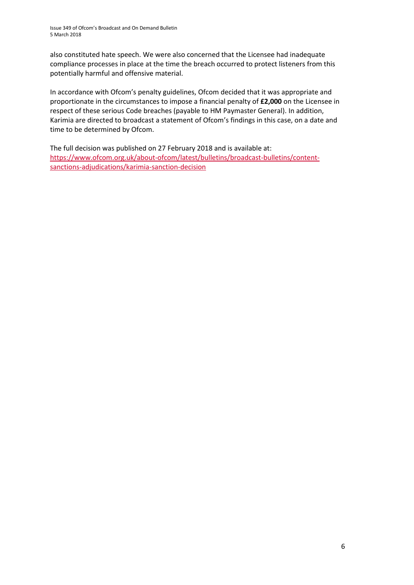also constituted hate speech. We were also concerned that the Licensee had inadequate compliance processes in place at the time the breach occurred to protect listeners from this potentially harmful and offensive material.

In accordance with Ofcom's penalty guidelines, Ofcom decided that it was appropriate and proportionate in the circumstances to impose a financial penalty of **£2,000** on the Licensee in respect of these serious Code breaches (payable to HM Paymaster General). In addition, Karimia are directed to broadcast a statement of Ofcom's findings in this case, on a date and time to be determined by Ofcom.

The full decision was published on 27 February 2018 and is available at: [https://www.ofcom.org.uk/about-ofcom/latest/bulletins/broadcast-bulletins/content](https://www.ofcom.org.uk/about-ofcom/latest/bulletins/broadcast-bulletins/content-sanctions-adjudications/karimia-sanction-decision)[sanctions-adjudications/karimia-sanction-decision](https://www.ofcom.org.uk/about-ofcom/latest/bulletins/broadcast-bulletins/content-sanctions-adjudications/karimia-sanction-decision)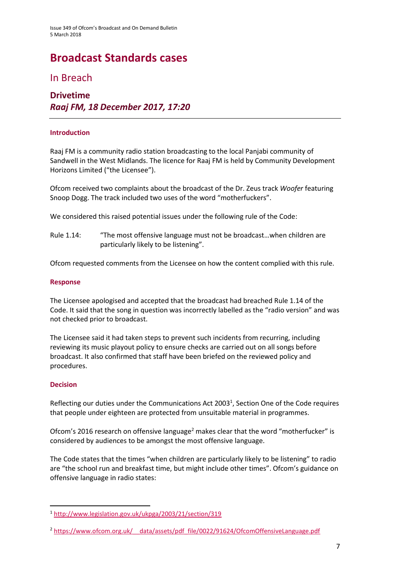# **Broadcast Standards cases**

### In Breach

### **Drivetime** *Raaj FM, 18 December 2017, 17:20*

### **Introduction**

Raaj FM is a community radio station broadcasting to the local Panjabi community of Sandwell in the West Midlands. The licence for Raaj FM is held by Community Development Horizons Limited ("the Licensee").

Ofcom received two complaints about the broadcast of the Dr. Zeus track *Woofer* featuring Snoop Dogg. The track included two uses of the word "motherfuckers".

We considered this raised potential issues under the following rule of the Code:

Rule 1.14: "The most offensive language must not be broadcast…when children are particularly likely to be listening".

Ofcom requested comments from the Licensee on how the content complied with this rule.

### **Response**

The Licensee apologised and accepted that the broadcast had breached Rule 1.14 of the Code. It said that the song in question was incorrectly labelled as the "radio version" and was not checked prior to broadcast.

The Licensee said it had taken steps to prevent such incidents from recurring, including reviewing its music playout policy to ensure checks are carried out on all songs before broadcast. It also confirmed that staff have been briefed on the reviewed policy and procedures.

#### **Decision**

**.** 

Reflecting our duties under the Communications Act 2003<sup>1</sup>, Section One of the Code requires that people under eighteen are protected from unsuitable material in programmes.

Ofcom's 2016 research on offensive language<sup>2</sup> makes clear that the word "motherfucker" is considered by audiences to be amongst the most offensive language.

The Code states that the times "when children are particularly likely to be listening" to radio are "the school run and breakfast time, but might include other times". Ofcom's guidance on offensive language in radio states:

<sup>1</sup> <http://www.legislation.gov.uk/ukpga/2003/21/section/319>

<sup>&</sup>lt;sup>2</sup> https://www.ofcom.org.uk/ data/assets/pdf file/0022/91624/OfcomOffensiveLanguage.pdf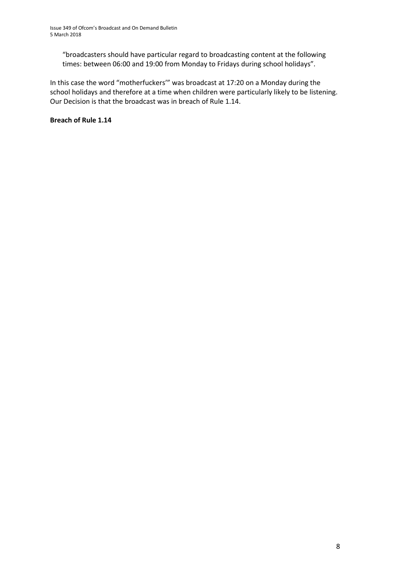"broadcasters should have particular regard to broadcasting content at the following times: between 06:00 and 19:00 from Monday to Fridays during school holidays".

In this case the word "motherfuckers'" was broadcast at 17:20 on a Monday during the school holidays and therefore at a time when children were particularly likely to be listening. Our Decision is that the broadcast was in breach of Rule 1.14.

**Breach of Rule 1.14**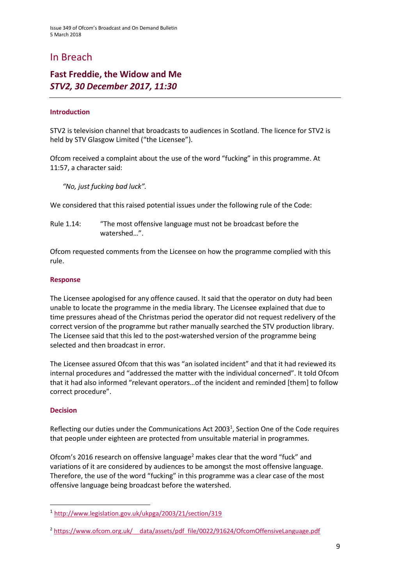# In Breach

### **Fast Freddie, the Widow and Me** *STV2, 30 December 2017, 11:30*

### **Introduction**

STV2 is television channel that broadcasts to audiences in Scotland. The licence for STV2 is held by STV Glasgow Limited ("the Licensee").

Ofcom received a complaint about the use of the word "fucking" in this programme. At 11:57, a character said:

*"No, just fucking bad luck".*

We considered that this raised potential issues under the following rule of the Code:

Rule 1.14: "The most offensive language must not be broadcast before the watershed…".

Ofcom requested comments from the Licensee on how the programme complied with this rule.

### **Response**

The Licensee apologised for any offence caused. It said that the operator on duty had been unable to locate the programme in the media library. The Licensee explained that due to time pressures ahead of the Christmas period the operator did not request redelivery of the correct version of the programme but rather manually searched the STV production library. The Licensee said that this led to the post-watershed version of the programme being selected and then broadcast in error.

The Licensee assured Ofcom that this was "an isolated incident" and that it had reviewed its internal procedures and "addressed the matter with the individual concerned". It told Ofcom that it had also informed "relevant operators…of the incident and reminded [them] to follow correct procedure".

#### **Decision**

 $\overline{\phantom{a}}$ 

Reflecting our duties under the Communications Act 2003<sup>1</sup>, Section One of the Code requires that people under eighteen are protected from unsuitable material in programmes.

Ofcom's 2016 research on offensive language<sup>2</sup> makes clear that the word "fuck" and variations of it are considered by audiences to be amongst the most offensive language. Therefore, the use of the word "fucking" in this programme was a clear case of the most offensive language being broadcast before the watershed.

<sup>1</sup> <http://www.legislation.gov.uk/ukpga/2003/21/section/319>

<sup>&</sup>lt;sup>2</sup> https://www.ofcom.org.uk/ data/assets/pdf file/0022/91624/OfcomOffensiveLanguage.pdf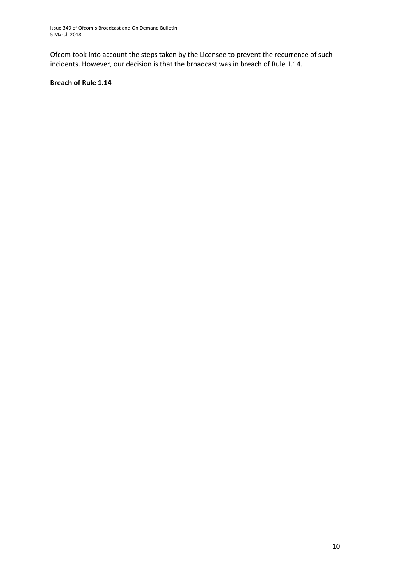Ofcom took into account the steps taken by the Licensee to prevent the recurrence of such incidents. However, our decision is that the broadcast was in breach of Rule 1.14.

### **Breach of Rule 1.14**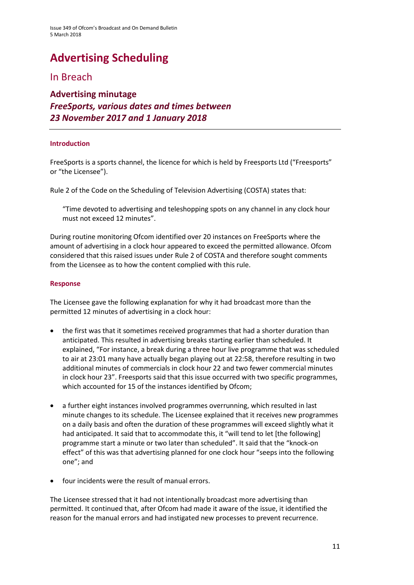# **Advertising Scheduling**

### In Breach

**Advertising minutage**  *FreeSports, various dates and times between 23 November 2017 and 1 January 2018*

### **Introduction**

FreeSports is a sports channel, the licence for which is held by Freesports Ltd ("Freesports" or "the Licensee").

Rule 2 of the Code on the Scheduling of Television Advertising (COSTA) states that:

"Time devoted to advertising and teleshopping spots on any channel in any clock hour must not exceed 12 minutes".

During routine monitoring Ofcom identified over 20 instances on FreeSports where the amount of advertising in a clock hour appeared to exceed the permitted allowance. Ofcom considered that this raised issues under Rule 2 of COSTA and therefore sought comments from the Licensee as to how the content complied with this rule.

### **Response**

The Licensee gave the following explanation for why it had broadcast more than the permitted 12 minutes of advertising in a clock hour:

- the first was that it sometimes received programmes that had a shorter duration than anticipated. This resulted in advertising breaks starting earlier than scheduled. It explained, "For instance, a break during a three hour live programme that was scheduled to air at 23:01 many have actually began playing out at 22:58, therefore resulting in two additional minutes of commercials in clock hour 22 and two fewer commercial minutes in clock hour 23". Freesports said that this issue occurred with two specific programmes, which accounted for 15 of the instances identified by Ofcom;
- a further eight instances involved programmes overrunning, which resulted in last minute changes to its schedule. The Licensee explained that it receives new programmes on a daily basis and often the duration of these programmes will exceed slightly what it had anticipated. It said that to accommodate this, it "will tend to let [the following] programme start a minute or two later than scheduled". It said that the "knock-on effect" of this was that advertising planned for one clock hour "seeps into the following one"; and
- four incidents were the result of manual errors.

The Licensee stressed that it had not intentionally broadcast more advertising than permitted. It continued that, after Ofcom had made it aware of the issue, it identified the reason for the manual errors and had instigated new processes to prevent recurrence.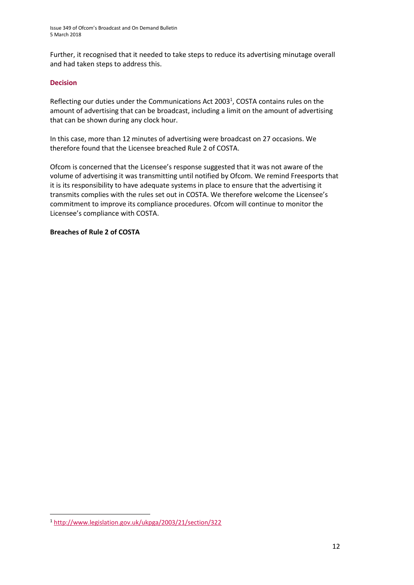Further, it recognised that it needed to take steps to reduce its advertising minutage overall and had taken steps to address this.

### **Decision**

Reflecting our duties under the Communications Act 2003<sup>1</sup>, COSTA contains rules on the amount of advertising that can be broadcast, including a limit on the amount of advertising that can be shown during any clock hour.

In this case, more than 12 minutes of advertising were broadcast on 27 occasions. We therefore found that the Licensee breached Rule 2 of COSTA.

Ofcom is concerned that the Licensee's response suggested that it was not aware of the volume of advertising it was transmitting until notified by Ofcom. We remind Freesports that it is its responsibility to have adequate systems in place to ensure that the advertising it transmits complies with the rules set out in COSTA. We therefore welcome the Licensee's commitment to improve its compliance procedures. Ofcom will continue to monitor the Licensee's compliance with COSTA.

**Breaches of Rule 2 of COSTA**

<sup>1</sup> <sup>1</sup> <http://www.legislation.gov.uk/ukpga/2003/21/section/322>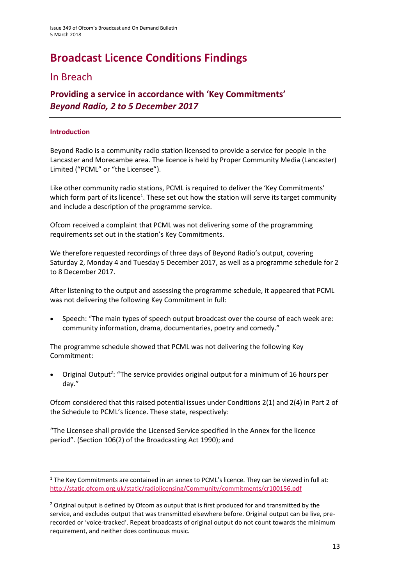# **Broadcast Licence Conditions Findings**

### In Breach

### **Providing a service in accordance with 'Key Commitments'**  *Beyond Radio, 2 to 5 December 2017*

### **Introduction**

**.** 

Beyond Radio is a community radio station licensed to provide a service for people in the Lancaster and Morecambe area. The licence is held by Proper Community Media (Lancaster) Limited ("PCML" or "the Licensee").

Like other community radio stations, PCML is required to deliver the 'Key Commitments' which form part of its licence<sup>1</sup>. These set out how the station will serve its target community and include a description of the programme service.

Ofcom received a complaint that PCML was not delivering some of the programming requirements set out in the station's Key Commitments.

We therefore requested recordings of three days of Beyond Radio's output, covering Saturday 2, Monday 4 and Tuesday 5 December 2017, as well as a programme schedule for 2 to 8 December 2017.

After listening to the output and assessing the programme schedule, it appeared that PCML was not delivering the following Key Commitment in full:

• Speech: "The main types of speech output broadcast over the course of each week are: community information, drama, documentaries, poetry and comedy."

The programme schedule showed that PCML was not delivering the following Key Commitment:

• Original Output<sup>2</sup>: "The service provides original output for a minimum of 16 hours per day."

Ofcom considered that this raised potential issues under Conditions 2(1) and 2(4) in Part 2 of the Schedule to PCML's licence. These state, respectively:

"The Licensee shall provide the Licensed Service specified in the Annex for the licence period". (Section 106(2) of the Broadcasting Act 1990); and

<sup>&</sup>lt;sup>1</sup> The Key Commitments are contained in an annex to PCML's licence. They can be viewed in full at: <http://static.ofcom.org.uk/static/radiolicensing/Community/commitments/cr100156.pdf>

 $2$  Original output is defined by Ofcom as output that is first produced for and transmitted by the service, and excludes output that was transmitted elsewhere before. Original output can be live, prerecorded or 'voice-tracked'. Repeat broadcasts of original output do not count towards the minimum requirement, and neither does continuous music.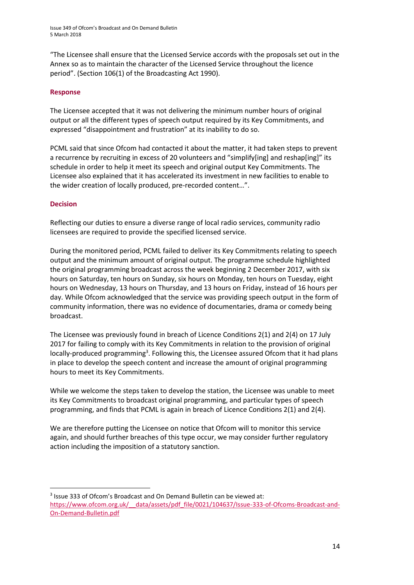"The Licensee shall ensure that the Licensed Service accords with the proposals set out in the Annex so as to maintain the character of the Licensed Service throughout the licence period". (Section 106(1) of the Broadcasting Act 1990).

### **Response**

The Licensee accepted that it was not delivering the minimum number hours of original output or all the different types of speech output required by its Key Commitments, and expressed "disappointment and frustration" at its inability to do so.

PCML said that since Ofcom had contacted it about the matter, it had taken steps to prevent a recurrence by recruiting in excess of 20 volunteers and "simplify[ing] and reshap[ing]" its schedule in order to help it meet its speech and original output Key Commitments. The Licensee also explained that it has accelerated its investment in new facilities to enable to the wider creation of locally produced, pre-recorded content…".

### **Decision**

 $\overline{\phantom{a}}$ 

Reflecting our duties to ensure a diverse range of local radio services, community radio licensees are required to provide the specified licensed service.

During the monitored period, PCML failed to deliver its Key Commitments relating to speech output and the minimum amount of original output. The programme schedule highlighted the original programming broadcast across the week beginning 2 December 2017, with six hours on Saturday, ten hours on Sunday, six hours on Monday, ten hours on Tuesday, eight hours on Wednesday, 13 hours on Thursday, and 13 hours on Friday, instead of 16 hours per day. While Ofcom acknowledged that the service was providing speech output in the form of community information, there was no evidence of documentaries, drama or comedy being broadcast.

The Licensee was previously found in breach of Licence Conditions 2(1) and 2(4) on 17 July 2017 for failing to comply with its Key Commitments in relation to the provision of original locally-produced programming<sup>3</sup>. Following this, the Licensee assured Ofcom that it had plans in place to develop the speech content and increase the amount of original programming hours to meet its Key Commitments.

While we welcome the steps taken to develop the station, the Licensee was unable to meet its Key Commitments to broadcast original programming, and particular types of speech programming, and finds that PCML is again in breach of Licence Conditions 2(1) and 2(4).

We are therefore putting the Licensee on notice that Ofcom will to monitor this service again, and should further breaches of this type occur, we may consider further regulatory action including the imposition of a statutory sanction.

<sup>&</sup>lt;sup>3</sup> Issue 333 of Ofcom's Broadcast and On Demand Bulletin can be viewed at: [https://www.ofcom.org.uk/\\_\\_data/assets/pdf\\_file/0021/104637/Issue-333-of-Ofcoms-Broadcast-and-](https://www.ofcom.org.uk/__data/assets/pdf_file/0021/104637/Issue-333-of-Ofcoms-Broadcast-and-On-Demand-Bulletin.pdf)[On-Demand-Bulletin.pdf](https://www.ofcom.org.uk/__data/assets/pdf_file/0021/104637/Issue-333-of-Ofcoms-Broadcast-and-On-Demand-Bulletin.pdf)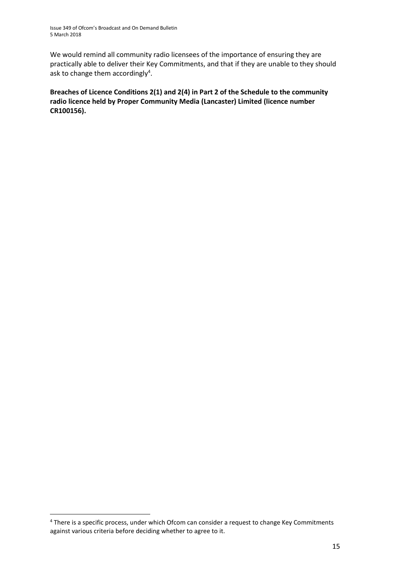We would remind all community radio licensees of the importance of ensuring they are practically able to deliver their Key Commitments, and that if they are unable to they should ask to change them accordingly<sup>4</sup>.

**Breaches of Licence Conditions 2(1) and 2(4) in Part 2 of the Schedule to the community radio licence held by Proper Community Media (Lancaster) Limited (licence number CR100156).**

1

<sup>4</sup> There is a specific process, under which Ofcom can consider a request to change Key Commitments against various criteria before deciding whether to agree to it.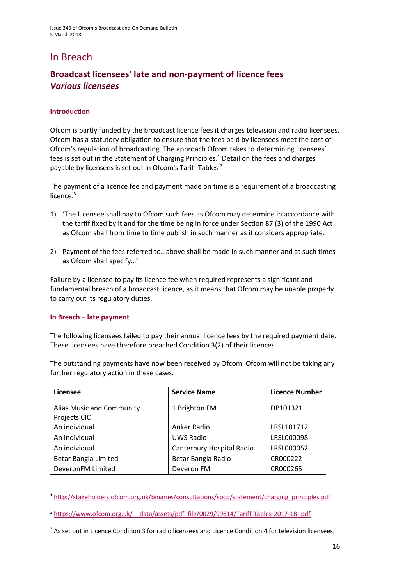# In Breach

## **Broadcast licensees' late and non-payment of licence fees** *Various licensees*

### **Introduction**

Ofcom is partly funded by the broadcast licence fees it charges television and radio licensees. Ofcom has a statutory obligation to ensure that the fees paid by licensees meet the cost of Ofcom's regulation of broadcasting. The approach Ofcom takes to determining licensees' fees is set out in the Statement of Charging Principles.<sup>1</sup> Detail on the fees and charges payable by licensees is set out in Ofcom's Tariff Tables.<sup>2</sup>

The payment of a licence fee and payment made on time is a requirement of a broadcasting licence.<sup>3</sup>

- 1) 'The Licensee shall pay to Ofcom such fees as Ofcom may determine in accordance with the tariff fixed by it and for the time being in force under Section 87 (3) of the 1990 Act as Ofcom shall from time to time publish in such manner as it considers appropriate.
- 2) Payment of the fees referred to…above shall be made in such manner and at such times as Ofcom shall specify…'

Failure by a licensee to pay its licence fee when required represents a significant and fundamental breach of a broadcast licence, as it means that Ofcom may be unable properly to carry out its regulatory duties.

#### **In Breach – late payment**

**.** 

The following licensees failed to pay their annual licence fees by the required payment date. These licensees have therefore breached Condition 3(2) of their licences.

| Licensee                                  | <b>Service Name</b>       | <b>Licence Number</b> |
|-------------------------------------------|---------------------------|-----------------------|
| Alias Music and Community<br>Projects CIC | 1 Brighton FM             | DP101321              |
| An individual                             | Anker Radio               | LRSL101712            |
| An individual                             | <b>UWS Radio</b>          | LRSL000098            |
| An individual                             | Canterbury Hospital Radio | LRSL000052            |
| Betar Bangla Limited                      | Betar Bangla Radio        | CR000222              |
| DeveronFM Limited                         | Deveron FM                | CR000265              |

The outstanding payments have now been received by Ofcom. Ofcom will not be taking any further regulatory action in these cases.

<sup>1</sup> [http://stakeholders.ofcom.org.uk/binaries/consultations/socp/statement/charging\\_principles.pdf](http://stakeholders.ofcom.org.uk/binaries/consultations/socp/statement/charging_principles.pdf)

<sup>&</sup>lt;sup>2</sup> https://www.ofcom.org.uk/ data/assets/pdf file/0029/99614/Tariff-Tables-2017-18-.pdf

<sup>&</sup>lt;sup>3</sup> As set out in Licence Condition 3 for radio licensees and Licence Condition 4 for television licensees.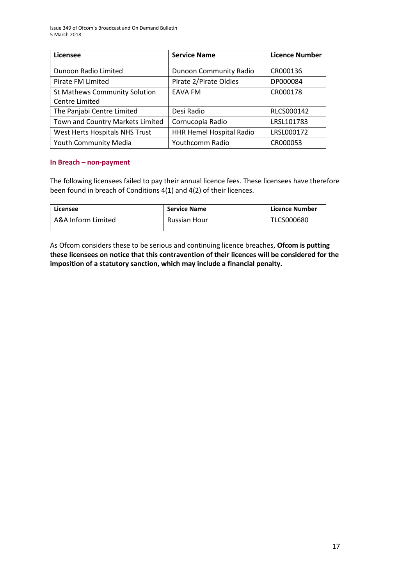Issue 349 of Ofcom's Broadcast and On Demand Bulletin 5 March 2018

| Licensee                             | <b>Service Name</b>             | <b>Licence Number</b> |
|--------------------------------------|---------------------------------|-----------------------|
|                                      |                                 |                       |
| Dunoon Radio Limited                 | <b>Dunoon Community Radio</b>   | CR000136              |
| Pirate FM Limited                    | Pirate 2/Pirate Oldies          | DP000084              |
| <b>St Mathews Community Solution</b> | <b>EAVA FM</b>                  | CR000178              |
| <b>Centre Limited</b>                |                                 |                       |
| The Panjabi Centre Limited           | Desi Radio                      | RLCS000142            |
| Town and Country Markets Limited     | Cornucopia Radio                | LRSL101783            |
| West Herts Hospitals NHS Trust       | <b>HHR Hemel Hospital Radio</b> | LRSL000172            |
| Youth Community Media                | Youthcomm Radio                 | CR000053              |

#### **In Breach – non-payment**

The following licensees failed to pay their annual licence fees. These licensees have therefore been found in breach of Conditions 4(1) and 4(2) of their licences.

| Licensee           | <b>Service Name</b> | Licence Number    |
|--------------------|---------------------|-------------------|
| A&A Inform Limited | Russian Hour        | <b>TLCS000680</b> |

As Ofcom considers these to be serious and continuing licence breaches, **Ofcom is putting these licensees on notice that this contravention of their licences will be considered for the imposition of a statutory sanction, which may include a financial penalty.**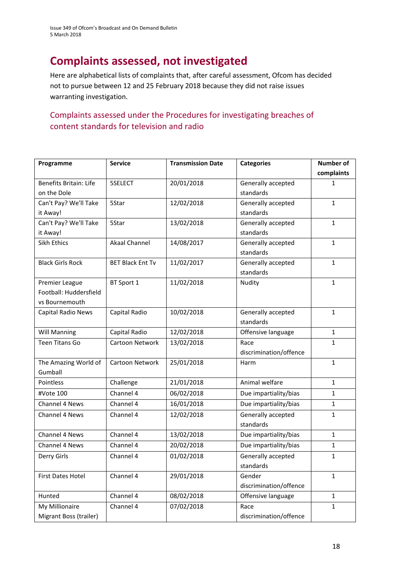# **Complaints assessed, not investigated**

Here are alphabetical lists of complaints that, after careful assessment, Ofcom has decided not to pursue between 12 and 25 February 2018 because they did not raise issues warranting investigation.

### Complaints assessed under the Procedures for investigating breaches of content standards for television and radio

| Programme                     | <b>Service</b>          | <b>Transmission Date</b> | <b>Categories</b>      | <b>Number of</b> |
|-------------------------------|-------------------------|--------------------------|------------------------|------------------|
|                               |                         |                          |                        | complaints       |
| <b>Benefits Britain: Life</b> | 5SELECT                 | 20/01/2018               | Generally accepted     | 1                |
| on the Dole                   |                         |                          | standards              |                  |
| Can't Pay? We'll Take         | 5Star                   | 12/02/2018               | Generally accepted     | $\mathbf{1}$     |
| it Away!                      |                         |                          | standards              |                  |
| Can't Pay? We'll Take         | 5Star                   | 13/02/2018               | Generally accepted     | $\mathbf{1}$     |
| it Away!                      |                         |                          | standards              |                  |
| Sikh Ethics                   | <b>Akaal Channel</b>    | 14/08/2017               | Generally accepted     | $\mathbf{1}$     |
|                               |                         |                          | standards              |                  |
| <b>Black Girls Rock</b>       | <b>BET Black Ent Tv</b> | 11/02/2017               | Generally accepted     | $\mathbf{1}$     |
|                               |                         |                          | standards              |                  |
| Premier League                | BT Sport 1              | 11/02/2018               | Nudity                 | $\mathbf{1}$     |
| Football: Huddersfield        |                         |                          |                        |                  |
| vs Bournemouth                |                         |                          |                        |                  |
| Capital Radio News            | Capital Radio           | 10/02/2018               | Generally accepted     | $\mathbf{1}$     |
|                               |                         |                          | standards              |                  |
| <b>Will Manning</b>           | Capital Radio           | 12/02/2018               | Offensive language     | $\mathbf{1}$     |
| <b>Teen Titans Go</b>         | Cartoon Network         | 13/02/2018               | Race                   | $\mathbf{1}$     |
|                               |                         |                          | discrimination/offence |                  |
| The Amazing World of          | Cartoon Network         | 25/01/2018               | Harm                   | $\mathbf{1}$     |
| Gumball                       |                         |                          |                        |                  |
| Pointless                     | Challenge               | 21/01/2018               | Animal welfare         | $\mathbf{1}$     |
| #Vote 100                     | Channel 4               | 06/02/2018               | Due impartiality/bias  | $\mathbf{1}$     |
| Channel 4 News                | Channel 4               | 16/01/2018               | Due impartiality/bias  | $\mathbf{1}$     |
| <b>Channel 4 News</b>         | Channel 4               | 12/02/2018               | Generally accepted     | $\mathbf{1}$     |
|                               |                         |                          | standards              |                  |
| Channel 4 News                | Channel 4               | 13/02/2018               | Due impartiality/bias  | $\mathbf{1}$     |
| Channel 4 News                | Channel 4               | 20/02/2018               | Due impartiality/bias  | $\mathbf{1}$     |
| Derry Girls                   | Channel 4               | 01/02/2018               | Generally accepted     | $\mathbf{1}$     |
|                               |                         |                          | standards              |                  |
| <b>First Dates Hotel</b>      | Channel 4               | 29/01/2018               | Gender                 | $\mathbf{1}$     |
|                               |                         |                          | discrimination/offence |                  |
| Hunted                        | Channel 4               | 08/02/2018               | Offensive language     | $\mathbf{1}$     |
| My Millionaire                | Channel 4               | 07/02/2018               | Race                   | $\mathbf{1}$     |
| Migrant Boss (trailer)        |                         |                          | discrimination/offence |                  |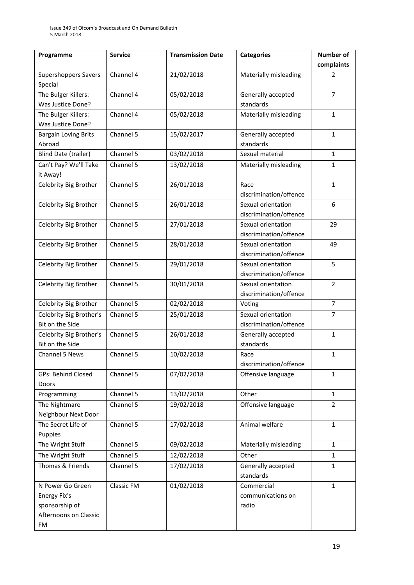| Programme                   | <b>Service</b>    | <b>Transmission Date</b> | <b>Categories</b>      | <b>Number of</b> |
|-----------------------------|-------------------|--------------------------|------------------------|------------------|
|                             |                   |                          |                        | complaints       |
| <b>Supershoppers Savers</b> | Channel 4         | 21/02/2018               | Materially misleading  | $\overline{2}$   |
| Special                     |                   |                          |                        |                  |
| The Bulger Killers:         | Channel 4         | 05/02/2018               | Generally accepted     | $\overline{7}$   |
| Was Justice Done?           |                   |                          | standards              |                  |
| The Bulger Killers:         | Channel 4         | 05/02/2018               | Materially misleading  | $\mathbf{1}$     |
| Was Justice Done?           |                   |                          |                        |                  |
| <b>Bargain Loving Brits</b> | Channel 5         | 15/02/2017               | Generally accepted     | $\mathbf{1}$     |
| Abroad                      |                   |                          | standards              |                  |
| Blind Date (trailer)        | Channel 5         | 03/02/2018               | Sexual material        | $\mathbf{1}$     |
| Can't Pay? We'll Take       | Channel 5         | 13/02/2018               | Materially misleading  | $\mathbf{1}$     |
| it Away!                    |                   |                          |                        |                  |
| Celebrity Big Brother       | Channel 5         | 26/01/2018               | Race                   | $\mathbf{1}$     |
|                             |                   |                          | discrimination/offence |                  |
| Celebrity Big Brother       | Channel 5         | 26/01/2018               | Sexual orientation     | 6                |
|                             |                   |                          | discrimination/offence |                  |
| Celebrity Big Brother       | Channel 5         | 27/01/2018               | Sexual orientation     | 29               |
|                             |                   |                          | discrimination/offence |                  |
| Celebrity Big Brother       | Channel 5         | 28/01/2018               | Sexual orientation     | 49               |
|                             |                   |                          | discrimination/offence |                  |
| Celebrity Big Brother       | Channel 5         | 29/01/2018               | Sexual orientation     | 5                |
|                             |                   |                          | discrimination/offence |                  |
| Celebrity Big Brother       | Channel 5         | 30/01/2018               | Sexual orientation     | $\overline{2}$   |
|                             |                   |                          | discrimination/offence |                  |
| Celebrity Big Brother       | Channel 5         | 02/02/2018               | Voting                 | $\overline{7}$   |
| Celebrity Big Brother's     | Channel 5         | 25/01/2018               | Sexual orientation     | $\overline{7}$   |
| Bit on the Side             |                   |                          | discrimination/offence |                  |
| Celebrity Big Brother's     | Channel 5         | 26/01/2018               | Generally accepted     | $\mathbf{1}$     |
| Bit on the Side             |                   |                          | standards              |                  |
| Channel 5 News              | Channel 5         | 10/02/2018               | Race                   | $\mathbf{1}$     |
|                             |                   |                          | discrimination/offence |                  |
| <b>GPs: Behind Closed</b>   | Channel 5         | 07/02/2018               | Offensive language     | $\mathbf{1}$     |
| Doors                       |                   |                          |                        |                  |
| Programming                 | Channel 5         | 13/02/2018               | Other                  | $\mathbf{1}$     |
| The Nightmare               | Channel 5         | 19/02/2018               | Offensive language     | $\overline{2}$   |
| Neighbour Next Door         |                   |                          |                        |                  |
| The Secret Life of          | Channel 5         | 17/02/2018               | Animal welfare         | $\mathbf{1}$     |
| Puppies                     |                   |                          |                        |                  |
| The Wright Stuff            | Channel 5         | 09/02/2018               | Materially misleading  | $\mathbf{1}$     |
| The Wright Stuff            | Channel 5         | 12/02/2018               | Other                  | 1                |
| Thomas & Friends            | Channel 5         | 17/02/2018               | Generally accepted     | $\mathbf{1}$     |
|                             |                   |                          | standards              |                  |
| N Power Go Green            | <b>Classic FM</b> | 01/02/2018               | Commercial             | $\mathbf{1}$     |
| Energy Fix's                |                   |                          | communications on      |                  |
| sponsorship of              |                   |                          | radio                  |                  |
| Afternoons on Classic       |                   |                          |                        |                  |
| FM                          |                   |                          |                        |                  |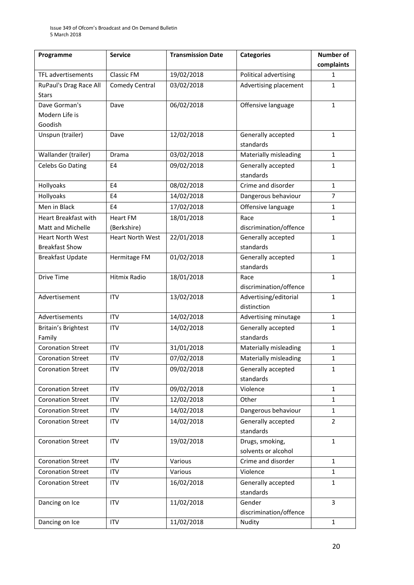| Programme                  | <b>Service</b>          | <b>Transmission Date</b> | <b>Categories</b>                    | Number of      |
|----------------------------|-------------------------|--------------------------|--------------------------------------|----------------|
|                            |                         |                          |                                      | complaints     |
| TFL advertisements         | Classic FM              | 19/02/2018               | Political advertising                | 1              |
| RuPaul's Drag Race All     | <b>Comedy Central</b>   | 03/02/2018               | Advertising placement                | 1              |
| <b>Stars</b>               |                         |                          |                                      |                |
| Dave Gorman's              | Dave                    | 06/02/2018               | Offensive language                   | $\mathbf{1}$   |
| Modern Life is             |                         |                          |                                      |                |
| Goodish                    |                         |                          |                                      |                |
| Unspun (trailer)           | Dave                    | 12/02/2018               | Generally accepted<br>standards      | $\mathbf{1}$   |
| Wallander (trailer)        | Drama                   | 03/02/2018               | Materially misleading                | $\mathbf{1}$   |
| Celebs Go Dating           | E4                      | 09/02/2018               | Generally accepted                   | $\mathbf{1}$   |
|                            |                         |                          | standards                            |                |
| Hollyoaks                  | E4                      | 08/02/2018               | Crime and disorder                   | $\mathbf{1}$   |
| Hollyoaks                  | E <sub>4</sub>          | 14/02/2018               | Dangerous behaviour                  | $\overline{7}$ |
| Men in Black               | E4                      | 17/02/2018               | Offensive language                   | $\mathbf{1}$   |
| Heart Breakfast with       | <b>Heart FM</b>         | 18/01/2018               | Race                                 | $\mathbf{1}$   |
| Matt and Michelle          | (Berkshire)             |                          | discrimination/offence               |                |
| <b>Heart North West</b>    | <b>Heart North West</b> | 22/01/2018               | Generally accepted                   | $\mathbf{1}$   |
| <b>Breakfast Show</b>      |                         |                          | standards                            |                |
| <b>Breakfast Update</b>    | Hermitage FM            | 01/02/2018               | Generally accepted                   | $\mathbf{1}$   |
|                            |                         |                          | standards                            |                |
| <b>Drive Time</b>          | Hitmix Radio            | 18/01/2018               | Race                                 | $\mathbf{1}$   |
|                            |                         |                          | discrimination/offence               |                |
| Advertisement              | <b>ITV</b>              | 13/02/2018               | Advertising/editorial<br>distinction | $\mathbf{1}$   |
| Advertisements             | <b>ITV</b>              | 14/02/2018               | Advertising minutage                 | $\mathbf{1}$   |
| <b>Britain's Brightest</b> | <b>ITV</b>              | 14/02/2018               | Generally accepted                   | $\mathbf{1}$   |
| Family                     |                         |                          | standards                            |                |
| <b>Coronation Street</b>   | <b>ITV</b>              | 31/01/2018               | Materially misleading                | $\mathbf{1}$   |
| <b>Coronation Street</b>   | <b>ITV</b>              | 07/02/2018               | Materially misleading                | 1              |
| <b>Coronation Street</b>   | <b>ITV</b>              | 09/02/2018               | Generally accepted                   | $\mathbf{1}$   |
|                            |                         |                          | standards                            |                |
| <b>Coronation Street</b>   | <b>ITV</b>              | 09/02/2018               | Violence                             | $\mathbf{1}$   |
| <b>Coronation Street</b>   | <b>ITV</b>              | 12/02/2018               | Other                                | $\mathbf{1}$   |
| <b>Coronation Street</b>   | <b>ITV</b>              | 14/02/2018               | Dangerous behaviour                  | $\mathbf{1}$   |
| <b>Coronation Street</b>   | <b>ITV</b>              | 14/02/2018               | Generally accepted                   | $\overline{2}$ |
|                            |                         |                          | standards                            |                |
| <b>Coronation Street</b>   | <b>ITV</b>              | 19/02/2018               | Drugs, smoking,                      | $\mathbf{1}$   |
|                            |                         |                          | solvents or alcohol                  |                |
| <b>Coronation Street</b>   | <b>ITV</b>              | Various                  | Crime and disorder                   | $\mathbf{1}$   |
| <b>Coronation Street</b>   | <b>ITV</b>              | Various                  | Violence                             | $\mathbf{1}$   |
| <b>Coronation Street</b>   | <b>ITV</b>              | 16/02/2018               | Generally accepted                   | $\mathbf{1}$   |
|                            |                         |                          | standards                            |                |
| Dancing on Ice             | <b>ITV</b>              | 11/02/2018               | Gender                               | $\overline{3}$ |
|                            |                         |                          | discrimination/offence               |                |
| Dancing on Ice             | <b>ITV</b>              | 11/02/2018               | Nudity                               | $\mathbf{1}$   |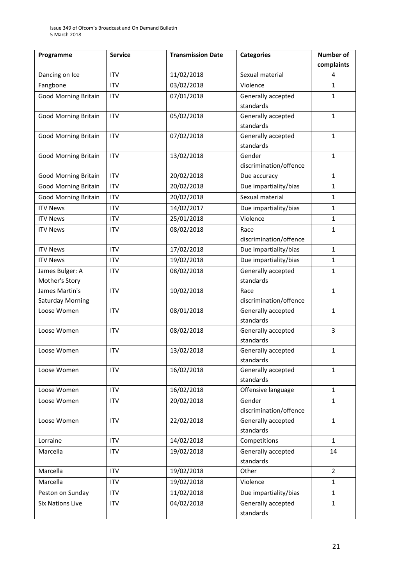| Programme                   | <b>Service</b> | <b>Transmission Date</b> | <b>Categories</b>                | Number of      |
|-----------------------------|----------------|--------------------------|----------------------------------|----------------|
|                             |                |                          |                                  | complaints     |
| Dancing on Ice              | <b>ITV</b>     | 11/02/2018               | Sexual material                  | 4              |
| Fangbone                    | <b>ITV</b>     | 03/02/2018               | Violence                         | 1              |
| <b>Good Morning Britain</b> | <b>ITV</b>     | 07/01/2018               | Generally accepted               | 1              |
|                             |                |                          | standards                        |                |
| Good Morning Britain        | <b>ITV</b>     | 05/02/2018               | Generally accepted               | 1              |
|                             |                |                          | standards                        |                |
| <b>Good Morning Britain</b> | <b>ITV</b>     | 07/02/2018               | Generally accepted<br>standards  | $\mathbf{1}$   |
| <b>Good Morning Britain</b> | <b>ITV</b>     | 13/02/2018               | Gender<br>discrimination/offence | $\mathbf{1}$   |
| <b>Good Morning Britain</b> | <b>ITV</b>     | 20/02/2018               | Due accuracy                     | $\mathbf{1}$   |
| <b>Good Morning Britain</b> | <b>ITV</b>     | 20/02/2018               | Due impartiality/bias            | 1              |
| <b>Good Morning Britain</b> | <b>ITV</b>     | 20/02/2018               | Sexual material                  | $\mathbf{1}$   |
| <b>ITV News</b>             | <b>ITV</b>     | 14/02/2017               | Due impartiality/bias            | $\mathbf{1}$   |
| <b>ITV News</b>             | <b>ITV</b>     | 25/01/2018               | Violence                         | 1              |
| <b>ITV News</b>             | <b>ITV</b>     | 08/02/2018               | Race                             | 1              |
|                             |                |                          | discrimination/offence           |                |
| <b>ITV News</b>             | <b>ITV</b>     | 17/02/2018               | Due impartiality/bias            | $\mathbf{1}$   |
| <b>ITV News</b>             | <b>ITV</b>     | 19/02/2018               | Due impartiality/bias            | 1              |
| James Bulger: A             | <b>ITV</b>     | 08/02/2018               | Generally accepted               | 1              |
| Mother's Story              |                |                          | standards                        |                |
| James Martin's              | <b>ITV</b>     | 10/02/2018               | Race                             | $\mathbf{1}$   |
| <b>Saturday Morning</b>     |                |                          | discrimination/offence           |                |
| Loose Women                 | <b>ITV</b>     | 08/01/2018               | Generally accepted<br>standards  | $\mathbf{1}$   |
| Loose Women                 | <b>ITV</b>     | 08/02/2018               | Generally accepted<br>standards  | 3              |
| Loose Women                 | <b>ITV</b>     | 13/02/2018               | Generally accepted<br>standards  | $\mathbf{1}$   |
| Loose Women                 | <b>ITV</b>     | 16/02/2018               | Generally accepted<br>standards  | $\mathbf{1}$   |
| Loose Women                 | <b>ITV</b>     | 16/02/2018               | Offensive language               | $\mathbf{1}$   |
| Loose Women                 | <b>ITV</b>     | 20/02/2018               | Gender                           | $\mathbf{1}$   |
|                             |                |                          | discrimination/offence           |                |
| Loose Women                 | <b>ITV</b>     | 22/02/2018               | Generally accepted<br>standards  | $\mathbf{1}$   |
| Lorraine                    | <b>ITV</b>     | 14/02/2018               | Competitions                     | $\mathbf{1}$   |
| Marcella                    | <b>ITV</b>     | 19/02/2018               | Generally accepted               | 14             |
|                             |                |                          | standards                        |                |
| Marcella                    | ITV            | 19/02/2018               | Other                            | $\overline{2}$ |
| Marcella                    | <b>ITV</b>     | 19/02/2018               | Violence                         | $\mathbf{1}$   |
| Peston on Sunday            | <b>ITV</b>     | 11/02/2018               | Due impartiality/bias            | $\mathbf{1}$   |
| <b>Six Nations Live</b>     | <b>ITV</b>     | 04/02/2018               | Generally accepted<br>standards  | $\mathbf{1}$   |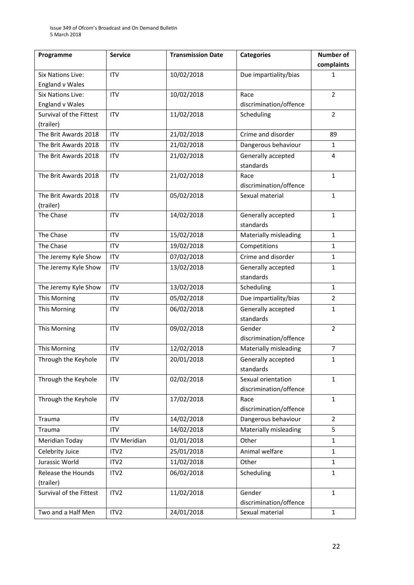| Programme                | <b>Service</b>      | <b>Transmission Date</b> | <b>Categories</b>               | <b>Number of</b> |
|--------------------------|---------------------|--------------------------|---------------------------------|------------------|
|                          |                     |                          |                                 | complaints       |
| Six Nations Live:        | <b>ITV</b>          | 10/02/2018               | Due impartiality/bias           | 1                |
| England v Wales          |                     |                          |                                 |                  |
| <b>Six Nations Live:</b> | <b>ITV</b>          | 10/02/2018               | Race                            | $\overline{2}$   |
| England v Wales          |                     |                          | discrimination/offence          |                  |
| Survival of the Fittest  | <b>ITV</b>          | 11/02/2018               | Scheduling                      | $\overline{2}$   |
| (trailer)                |                     |                          |                                 |                  |
| The Brit Awards 2018     | <b>ITV</b>          | 21/02/2018               | Crime and disorder              | 89               |
| The Brit Awards 2018     | <b>ITV</b>          | 21/02/2018               | Dangerous behaviour             | $\mathbf{1}$     |
| The Brit Awards 2018     | <b>ITV</b>          | 21/02/2018               | Generally accepted<br>standards | 4                |
| The Brit Awards 2018     | <b>ITV</b>          | 21/02/2018               | Race<br>discrimination/offence  | $\mathbf{1}$     |
| The Brit Awards 2018     | <b>ITV</b>          | 05/02/2018               | Sexual material                 | $\mathbf{1}$     |
| (trailer)                |                     |                          |                                 |                  |
| The Chase                | <b>ITV</b>          | 14/02/2018               | Generally accepted<br>standards | $\mathbf{1}$     |
| The Chase                | <b>ITV</b>          | 15/02/2018               | Materially misleading           | $\mathbf{1}$     |
| The Chase                | <b>ITV</b>          | 19/02/2018               | Competitions                    | $\mathbf{1}$     |
| The Jeremy Kyle Show     | <b>ITV</b>          | 07/02/2018               | Crime and disorder              | $\mathbf{1}$     |
| The Jeremy Kyle Show     | <b>ITV</b>          | 13/02/2018               | Generally accepted              | $\mathbf{1}$     |
|                          |                     |                          | standards                       |                  |
| The Jeremy Kyle Show     | <b>ITV</b>          | 13/02/2018               | Scheduling                      | $\mathbf{1}$     |
| This Morning             | <b>ITV</b>          | 05/02/2018               | Due impartiality/bias           | $\overline{2}$   |
| This Morning             | <b>ITV</b>          | 06/02/2018               | Generally accepted<br>standards | $\mathbf{1}$     |
| This Morning             | <b>ITV</b>          | 09/02/2018               | Gender                          | $\overline{2}$   |
|                          |                     |                          | discrimination/offence          |                  |
| This Morning             | <b>ITV</b>          | 12/02/2018               | Materially misleading           | $\overline{7}$   |
| Through the Keyhole      | ITV                 | 20/01/2018               | Generally accepted              | 1                |
|                          |                     |                          | standards                       |                  |
| Through the Keyhole      | <b>ITV</b>          | 02/02/2018               | Sexual orientation              | $\mathbf{1}$     |
|                          |                     |                          | discrimination/offence          |                  |
| Through the Keyhole      | <b>ITV</b>          | 17/02/2018               | Race                            | $\mathbf{1}$     |
|                          |                     |                          | discrimination/offence          |                  |
| Trauma                   | <b>ITV</b>          | 14/02/2018               | Dangerous behaviour             | $\overline{2}$   |
| Trauma                   | <b>ITV</b>          | 14/02/2018               | Materially misleading           | 5                |
| Meridian Today           | <b>ITV Meridian</b> | 01/01/2018               | Other                           | $\mathbf{1}$     |
| Celebrity Juice          | ITV <sub>2</sub>    | 25/01/2018               | Animal welfare                  | $\mathbf{1}$     |
| Jurassic World           | ITV <sub>2</sub>    | 11/02/2018               | Other                           | $\mathbf{1}$     |
| Release the Hounds       | ITV <sub>2</sub>    | 06/02/2018               | Scheduling                      | $\mathbf{1}$     |
| (trailer)                |                     |                          |                                 |                  |
| Survival of the Fittest  | ITV2                | 11/02/2018               | Gender                          | $\mathbf{1}$     |
|                          |                     |                          | discrimination/offence          |                  |
| Two and a Half Men       | ITV <sub>2</sub>    | 24/01/2018               | Sexual material                 | $\mathbf{1}$     |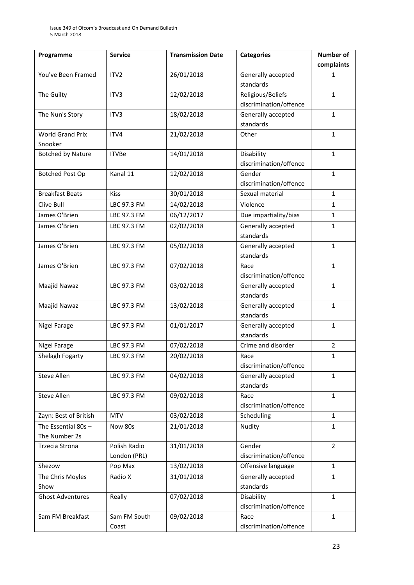| Programme                | <b>Service</b>   | <b>Transmission Date</b> | <b>Categories</b>      | <b>Number of</b> |
|--------------------------|------------------|--------------------------|------------------------|------------------|
|                          |                  |                          |                        | complaints       |
| You've Been Framed       | ITV <sub>2</sub> | 26/01/2018               | Generally accepted     | 1                |
|                          |                  |                          | standards              |                  |
| The Guilty               | ITV3             | 12/02/2018               | Religious/Beliefs      | $\mathbf{1}$     |
|                          |                  |                          | discrimination/offence |                  |
| The Nun's Story          | ITV3             | 18/02/2018               | Generally accepted     | $\mathbf{1}$     |
|                          |                  |                          | standards              |                  |
| <b>World Grand Prix</b>  | ITV4             | 21/02/2018               | Other                  | $\mathbf{1}$     |
| Snooker                  |                  |                          |                        |                  |
| <b>Botched by Nature</b> | <b>ITVBe</b>     | 14/01/2018               | Disability             | $\mathbf{1}$     |
|                          |                  |                          | discrimination/offence |                  |
| <b>Botched Post Op</b>   | Kanal 11         | 12/02/2018               | Gender                 | $\mathbf{1}$     |
|                          |                  |                          | discrimination/offence |                  |
| <b>Breakfast Beats</b>   | <b>Kiss</b>      | 30/01/2018               | Sexual material        | $\mathbf{1}$     |
| Clive Bull               | LBC 97.3 FM      | 14/02/2018               | Violence               | 1                |
| James O'Brien            | LBC 97.3 FM      | 06/12/2017               | Due impartiality/bias  | $\mathbf{1}$     |
| James O'Brien            | LBC 97.3 FM      | 02/02/2018               | Generally accepted     | $\mathbf{1}$     |
|                          |                  |                          | standards              |                  |
| James O'Brien            | LBC 97.3 FM      | 05/02/2018               | Generally accepted     | $\mathbf{1}$     |
|                          |                  |                          | standards              |                  |
| James O'Brien            | LBC 97.3 FM      | 07/02/2018               | Race                   | $\mathbf{1}$     |
|                          |                  |                          | discrimination/offence |                  |
| Maajid Nawaz             | LBC 97.3 FM      | 03/02/2018               | Generally accepted     | $\mathbf{1}$     |
|                          |                  |                          | standards              |                  |
| Maajid Nawaz             | LBC 97.3 FM      | 13/02/2018               | Generally accepted     | $\mathbf{1}$     |
|                          |                  |                          | standards              |                  |
| Nigel Farage             | LBC 97.3 FM      | 01/01/2017               | Generally accepted     | $\mathbf{1}$     |
|                          |                  |                          | standards              |                  |
| <b>Nigel Farage</b>      | LBC 97.3 FM      | 07/02/2018               | Crime and disorder     | $\overline{2}$   |
| Shelagh Fogarty          | LBC 97.3 FM      | 20/02/2018               | Race                   | 1                |
|                          |                  |                          | discrimination/offence |                  |
| Steve Allen              | LBC 97.3 FM      | 04/02/2018               | Generally accepted     | $\mathbf{1}$     |
|                          |                  |                          | standards              |                  |
| <b>Steve Allen</b>       | LBC 97.3 FM      | 09/02/2018               | Race                   | 1                |
|                          |                  |                          | discrimination/offence |                  |
| Zayn: Best of British    | <b>MTV</b>       | 03/02/2018               | Scheduling             | $\mathbf{1}$     |
| The Essential $80s -$    | Now 80s          | 21/01/2018               | Nudity                 | $\mathbf{1}$     |
| The Number 2s            |                  |                          |                        |                  |
| Trzecia Strona           | Polish Radio     | 31/01/2018               | Gender                 | $\overline{2}$   |
|                          | London (PRL)     |                          | discrimination/offence |                  |
| Shezow                   | Pop Max          | 13/02/2018               | Offensive language     | $\mathbf{1}$     |
| The Chris Moyles         | Radio X          | 31/01/2018               | Generally accepted     | 1                |
| Show                     |                  |                          | standards              |                  |
| <b>Ghost Adventures</b>  | Really           | 07/02/2018               | Disability             | $\mathbf{1}$     |
|                          |                  |                          | discrimination/offence |                  |
| Sam FM Breakfast         | Sam FM South     | 09/02/2018               | Race                   | $\mathbf{1}$     |
|                          | Coast            |                          | discrimination/offence |                  |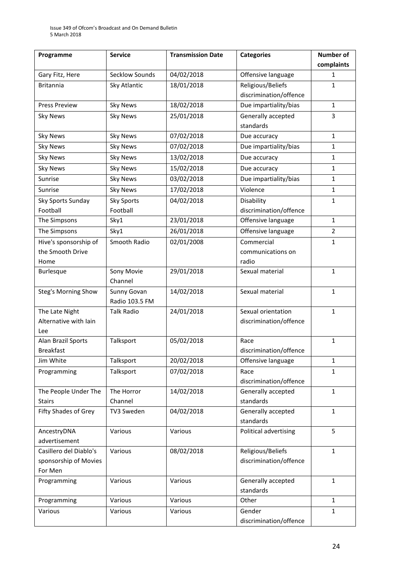| Programme                             | <b>Service</b>        | <b>Transmission Date</b> | <b>Categories</b>               | <b>Number of</b> |
|---------------------------------------|-----------------------|--------------------------|---------------------------------|------------------|
|                                       |                       |                          |                                 | complaints       |
| Gary Fitz, Here                       | Secklow Sounds        | 04/02/2018               | Offensive language              | 1                |
| <b>Britannia</b>                      | Sky Atlantic          | 18/01/2018               | Religious/Beliefs               | $\mathbf{1}$     |
|                                       |                       |                          | discrimination/offence          |                  |
| <b>Press Preview</b>                  | <b>Sky News</b>       | 18/02/2018               | Due impartiality/bias           | $\mathbf{1}$     |
| <b>Sky News</b>                       | <b>Sky News</b>       | 25/01/2018               | Generally accepted              | 3                |
|                                       |                       |                          | standards                       |                  |
| <b>Sky News</b>                       | <b>Sky News</b>       | 07/02/2018               | Due accuracy                    | $\mathbf{1}$     |
| <b>Sky News</b>                       | <b>Sky News</b>       | 07/02/2018               | Due impartiality/bias           | 1                |
| <b>Sky News</b>                       | <b>Sky News</b>       | 13/02/2018               | Due accuracy                    | $\mathbf{1}$     |
| <b>Sky News</b>                       | <b>Sky News</b>       | 15/02/2018               | Due accuracy                    | $\mathbf{1}$     |
| Sunrise                               | <b>Sky News</b>       | 03/02/2018               | Due impartiality/bias           | $\mathbf{1}$     |
| Sunrise                               | <b>Sky News</b>       | 17/02/2018               | Violence                        | $\mathbf{1}$     |
| Sky Sports Sunday                     | Sky Sports            | 04/02/2018               | Disability                      | $\mathbf{1}$     |
| Football                              | Football              |                          | discrimination/offence          |                  |
| The Simpsons                          | Sky1                  | 23/01/2018               | Offensive language              | $\mathbf{1}$     |
| The Simpsons                          | Sky1                  | 26/01/2018               | Offensive language              | $\overline{2}$   |
| Hive's sponsorship of                 | Smooth Radio          | 02/01/2008               | Commercial                      | $\mathbf{1}$     |
| the Smooth Drive                      |                       |                          | communications on               |                  |
| Home                                  |                       |                          | radio                           |                  |
| Burlesque                             | Sony Movie            | 29/01/2018               | Sexual material                 | $\mathbf{1}$     |
|                                       | Channel               |                          |                                 |                  |
| <b>Steg's Morning Show</b>            | Sunny Govan           | 14/02/2018               | Sexual material                 | $\mathbf{1}$     |
|                                       | Radio 103.5 FM        |                          |                                 |                  |
| The Late Night                        | <b>Talk Radio</b>     | 24/01/2018               | Sexual orientation              | $\mathbf{1}$     |
| Alternative with Iain                 |                       |                          | discrimination/offence          |                  |
| Lee                                   |                       |                          |                                 |                  |
| Alan Brazil Sports                    | Talksport             | 05/02/2018               | Race                            | $\mathbf{1}$     |
| <b>Breakfast</b>                      |                       |                          | discrimination/offence          |                  |
| Jim White                             | Talksport             | 20/02/2018               | Offensive language              | $\mathbf{1}$     |
| Programming                           | Talksport             | 07/02/2018               | Race                            | $\mathbf{1}$     |
|                                       |                       |                          | discrimination/offence          |                  |
| The People Under The                  | The Horror<br>Channel | 14/02/2018               | Generally accepted<br>standards | $\mathbf{1}$     |
| <b>Stairs</b><br>Fifty Shades of Grey | TV3 Sweden            | 04/02/2018               | Generally accepted              | $\mathbf{1}$     |
|                                       |                       |                          | standards                       |                  |
| AncestryDNA                           | Various               | Various                  | Political advertising           | 5                |
| advertisement                         |                       |                          |                                 |                  |
| Casillero del Diablo's                | Various               | 08/02/2018               | Religious/Beliefs               | $\mathbf{1}$     |
| sponsorship of Movies                 |                       |                          | discrimination/offence          |                  |
| For Men                               |                       |                          |                                 |                  |
| Programming                           | Various               | Various                  | Generally accepted              | $\mathbf{1}$     |
|                                       |                       |                          | standards                       |                  |
| Programming                           | Various               | Various                  | Other                           | $\mathbf{1}$     |
| Various                               | Various               | Various                  | Gender                          | $\mathbf{1}$     |
|                                       |                       |                          | discrimination/offence          |                  |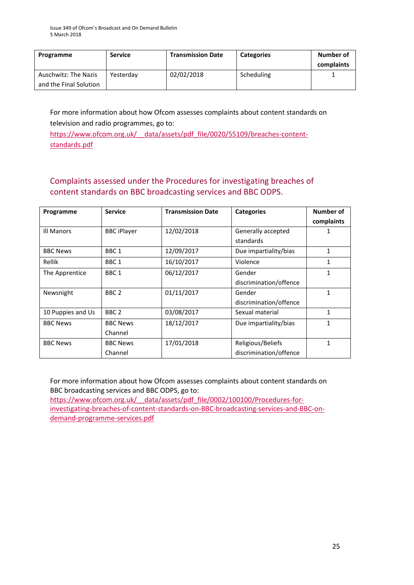| Programme                                      | <b>Service</b> | <b>Transmission Date</b> | <b>Categories</b> | Number of<br>complaints |
|------------------------------------------------|----------------|--------------------------|-------------------|-------------------------|
| Auschwitz: The Nazis<br>and the Final Solution | Yesterdav      | 02/02/2018               | Scheduling        |                         |

For more information about how Ofcom assesses complaints about content standards on television and radio programmes, go to:

https://www.ofcom.org.uk/ data/assets/pdf file/0020/55109/breaches-content[standards.pdf](https://www.ofcom.org.uk/__data/assets/pdf_file/0020/55109/breaches-content-standards.pdf)

### Complaints assessed under the Procedures for investigating breaches of content standards on BBC broadcasting services and BBC ODPS.

| Programme         | <b>Service</b>     | <b>Transmission Date</b> | <b>Categories</b>      | Number of  |
|-------------------|--------------------|--------------------------|------------------------|------------|
|                   |                    |                          |                        | complaints |
| Ill Manors        | <b>BBC</b> iPlayer | 12/02/2018               | Generally accepted     | 1          |
|                   |                    |                          | standards              |            |
| <b>BBC News</b>   | BBC <sub>1</sub>   | 12/09/2017               | Due impartiality/bias  | 1          |
| Rellik            | BBC <sub>1</sub>   | 16/10/2017               | Violence               | 1          |
| The Apprentice    | BBC <sub>1</sub>   | 06/12/2017               | Gender                 |            |
|                   |                    |                          | discrimination/offence |            |
| Newsnight         | BBC <sub>2</sub>   | 01/11/2017               | Gender                 | 1          |
|                   |                    |                          | discrimination/offence |            |
| 10 Puppies and Us | BBC <sub>2</sub>   | 03/08/2017               | Sexual material        | 1          |
| <b>BBC News</b>   | <b>BBC News</b>    | 18/12/2017               | Due impartiality/bias  | 1          |
|                   | Channel            |                          |                        |            |
| <b>BBC News</b>   | <b>BBC News</b>    | 17/01/2018               | Religious/Beliefs      | 1          |
|                   | Channel            |                          | discrimination/offence |            |

For more information about how Ofcom assesses complaints about content standards on BBC broadcasting services and BBC ODPS, go to: https://www.ofcom.org.uk/ data/assets/pdf file/0002/100100/Procedures-for[investigating-breaches-of-content-standards-on-BBC-broadcasting-services-and-BBC-on](https://www.ofcom.org.uk/__data/assets/pdf_file/0002/100100/Procedures-for-investigating-breaches-of-content-standards-on-BBC-broadcasting-services-and-BBC-on-demand-programme-services.pdf)[demand-programme-services.pdf](https://www.ofcom.org.uk/__data/assets/pdf_file/0002/100100/Procedures-for-investigating-breaches-of-content-standards-on-BBC-broadcasting-services-and-BBC-on-demand-programme-services.pdf)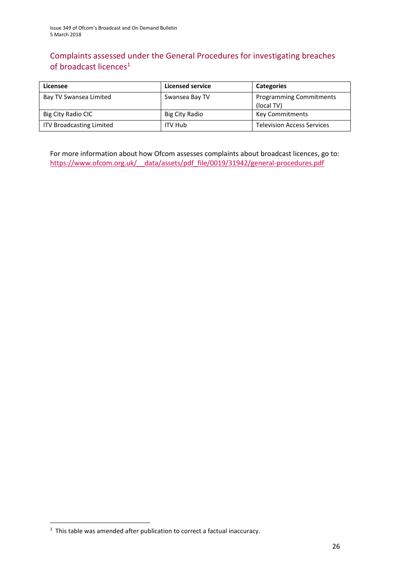### Complaints assessed under the General Procedures for investigating breaches of broadcast licences<sup>1</sup>

| Licensee                        | Licensed service | <b>Categories</b>                            |
|---------------------------------|------------------|----------------------------------------------|
| Bay TV Swansea Limited          | Swansea Bay TV   | <b>Programming Commitments</b><br>(local TV) |
| Big City Radio CIC              | Big City Radio   | <b>Key Commitments</b>                       |
| <b>ITV Broadcasting Limited</b> | <b>ITV Hub</b>   | <b>Television Access Services</b>            |

For more information about how Ofcom assesses complaints about broadcast licences, go to: [https://www.ofcom.org.uk/\\_\\_data/assets/pdf\\_file/0019/31942/general-procedures.pdf](https://www.ofcom.org.uk/__data/assets/pdf_file/0019/31942/general-procedures.pdf)

**.** 

 $1$  This table was amended after publication to correct a factual inaccuracy.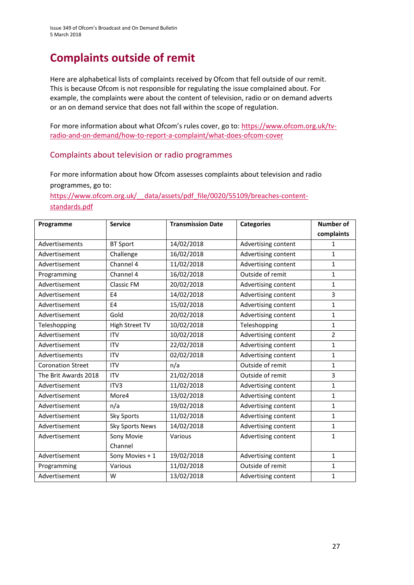# **Complaints outside of remit**

Here are alphabetical lists of complaints received by Ofcom that fell outside of our remit. This is because Ofcom is not responsible for regulating the issue complained about. For example, the complaints were about the content of television, radio or on demand adverts or an on demand service that does not fall within the scope of regulation.

For more information about what Ofcom's rules cover, go to: [https://www.ofcom.org.uk/tv](https://www.ofcom.org.uk/tv-radio-and-on-demand/how-to-report-a-complaint/what-does-ofcom-cover)[radio-and-on-demand/how-to-report-a-complaint/what-does-ofcom-cover](https://www.ofcom.org.uk/tv-radio-and-on-demand/how-to-report-a-complaint/what-does-ofcom-cover)

### Complaints about television or radio programmes

For more information about how Ofcom assesses complaints about television and radio programmes, go to:

[https://www.ofcom.org.uk/\\_\\_data/assets/pdf\\_file/0020/55109/breaches-content](https://www.ofcom.org.uk/__data/assets/pdf_file/0020/55109/breaches-content-standards.pdf)[standards.pdf](https://www.ofcom.org.uk/__data/assets/pdf_file/0020/55109/breaches-content-standards.pdf)

| Programme                | <b>Service</b>         | <b>Transmission Date</b> | <b>Categories</b>   | <b>Number of</b> |
|--------------------------|------------------------|--------------------------|---------------------|------------------|
|                          |                        |                          |                     | complaints       |
| Advertisements           | <b>BT Sport</b>        | 14/02/2018               | Advertising content | $\mathbf 1$      |
| Advertisement            | Challenge              | 16/02/2018               | Advertising content | $\mathbf 1$      |
| Advertisement            | Channel 4              | 11/02/2018               | Advertising content | $\mathbf{1}$     |
| Programming              | Channel 4              | 16/02/2018               | Outside of remit    | $\mathbf{1}$     |
| Advertisement            | <b>Classic FM</b>      | 20/02/2018               | Advertising content | 1                |
| Advertisement            | E <sub>4</sub>         | 14/02/2018               | Advertising content | 3                |
| Advertisement            | E <sub>4</sub>         | 15/02/2018               | Advertising content | $\mathbf{1}$     |
| Advertisement            | Gold                   | 20/02/2018               | Advertising content | $\mathbf{1}$     |
| Teleshopping             | <b>High Street TV</b>  | 10/02/2018               | Teleshopping        | $\mathbf{1}$     |
| Advertisement            | <b>ITV</b>             | 10/02/2018               | Advertising content | $\overline{2}$   |
| Advertisement            | <b>ITV</b>             | 22/02/2018               | Advertising content | $\mathbf{1}$     |
| Advertisements           | <b>ITV</b>             | 02/02/2018               | Advertising content | $\mathbf{1}$     |
| <b>Coronation Street</b> | <b>ITV</b>             | n/a                      | Outside of remit    | $\mathbf{1}$     |
| The Brit Awards 2018     | <b>ITV</b>             | 21/02/2018               | Outside of remit    | 3                |
| Advertisement            | ITV3                   | 11/02/2018               | Advertising content | $\mathbf{1}$     |
| Advertisement            | More4                  | 13/02/2018               | Advertising content | $\mathbf{1}$     |
| Advertisement            | n/a                    | 19/02/2018               | Advertising content | $\mathbf{1}$     |
| Advertisement            | <b>Sky Sports</b>      | 11/02/2018               | Advertising content | $\mathbf{1}$     |
| Advertisement            | <b>Sky Sports News</b> | 14/02/2018               | Advertising content | $\mathbf{1}$     |
| Advertisement            | Sony Movie             | Various                  | Advertising content | $\mathbf{1}$     |
|                          | Channel                |                          |                     |                  |
| Advertisement            | Sony Movies + 1        | 19/02/2018               | Advertising content | $\mathbf{1}$     |
| Programming              | Various                | 11/02/2018               | Outside of remit    | 1                |
| Advertisement            | W                      | 13/02/2018               | Advertising content | $\mathbf{1}$     |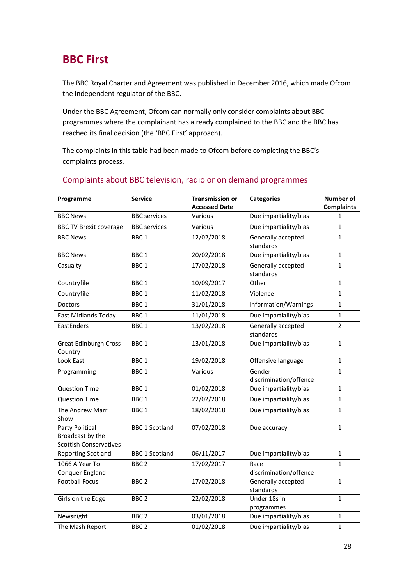# **BBC First**

The BBC Royal Charter and Agreement was published in December 2016, which made Ofcom the independent regulator of the BBC.

Under the BBC Agreement, Ofcom can normally only consider complaints about BBC programmes where the complainant has already complained to the BBC and the BBC has reached its final decision (the 'BBC First' approach).

The complaints in this table had been made to Ofcom before completing the BBC's complaints process.

| Programme                                                            | <b>Service</b>        | <b>Transmission or</b> | <b>Categories</b>                | Number of         |
|----------------------------------------------------------------------|-----------------------|------------------------|----------------------------------|-------------------|
|                                                                      |                       | <b>Accessed Date</b>   |                                  | <b>Complaints</b> |
| <b>BBC News</b>                                                      | <b>BBC</b> services   | Various                | Due impartiality/bias            | 1                 |
| <b>BBC TV Brexit coverage</b>                                        | <b>BBC</b> services   | Various                | Due impartiality/bias            | $\mathbf{1}$      |
| <b>BBC News</b>                                                      | BBC <sub>1</sub>      | 12/02/2018             | Generally accepted<br>standards  | $\mathbf{1}$      |
| <b>BBC News</b>                                                      | BBC <sub>1</sub>      | 20/02/2018             | Due impartiality/bias            | $\mathbf{1}$      |
| Casualty                                                             | BBC <sub>1</sub>      | 17/02/2018             | Generally accepted<br>standards  | $\mathbf{1}$      |
| Countryfile                                                          | BBC <sub>1</sub>      | 10/09/2017             | Other                            | $\mathbf{1}$      |
| Countryfile                                                          | BBC <sub>1</sub>      | 11/02/2018             | Violence                         | $\mathbf{1}$      |
| <b>Doctors</b>                                                       | BBC <sub>1</sub>      | 31/01/2018             | Information/Warnings             | $\mathbf{1}$      |
| <b>East Midlands Today</b>                                           | BBC <sub>1</sub>      | 11/01/2018             | Due impartiality/bias            | $\mathbf{1}$      |
| EastEnders                                                           | BBC <sub>1</sub>      | 13/02/2018             | Generally accepted<br>standards  | $\overline{2}$    |
| Great Edinburgh Cross<br>Country                                     | BBC <sub>1</sub>      | 13/01/2018             | Due impartiality/bias            | $\mathbf{1}$      |
| Look East                                                            | BBC <sub>1</sub>      | 19/02/2018             | Offensive language               | $\mathbf{1}$      |
| Programming                                                          | BBC <sub>1</sub>      | Various                | Gender<br>discrimination/offence | $\mathbf{1}$      |
| <b>Question Time</b>                                                 | BBC <sub>1</sub>      | 01/02/2018             | Due impartiality/bias            | $\mathbf{1}$      |
| <b>Question Time</b>                                                 | BBC <sub>1</sub>      | 22/02/2018             | Due impartiality/bias            | $\mathbf{1}$      |
| The Andrew Marr<br>Show                                              | BBC <sub>1</sub>      | 18/02/2018             | Due impartiality/bias            | $\mathbf{1}$      |
| Party Political<br>Broadcast by the<br><b>Scottish Conservatives</b> | <b>BBC 1 Scotland</b> | 07/02/2018             | Due accuracy                     | $\mathbf{1}$      |
| <b>Reporting Scotland</b>                                            | <b>BBC 1 Scotland</b> | 06/11/2017             | Due impartiality/bias            | $\mathbf{1}$      |
| 1066 A Year To<br>Conquer England                                    | BBC <sub>2</sub>      | 17/02/2017             | Race<br>discrimination/offence   | $\mathbf{1}$      |
| <b>Football Focus</b>                                                | BBC <sub>2</sub>      | 17/02/2018             | Generally accepted<br>standards  | $\mathbf{1}$      |
| Girls on the Edge                                                    | BBC <sub>2</sub>      | 22/02/2018             | Under 18s in<br>programmes       | $\mathbf{1}$      |
| Newsnight                                                            | BBC <sub>2</sub>      | 03/01/2018             | Due impartiality/bias            | $\mathbf{1}$      |
| The Mash Report                                                      | BBC <sub>2</sub>      | 01/02/2018             | Due impartiality/bias            | $\mathbf{1}$      |

### Complaints about BBC television, radio or on demand programmes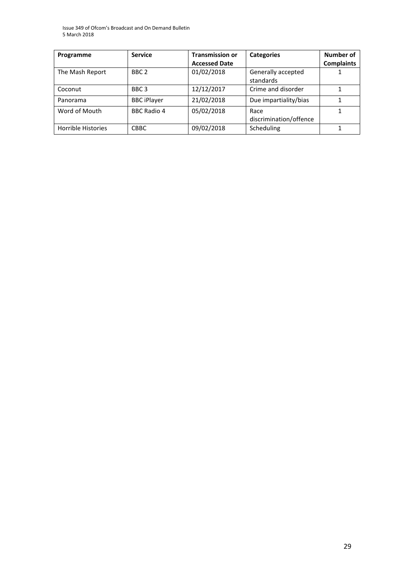Issue 349 of Ofcom's Broadcast and On Demand Bulletin 5 March 2018

| Programme          | <b>Service</b>     | <b>Transmission or</b> | <b>Categories</b>      | Number of         |
|--------------------|--------------------|------------------------|------------------------|-------------------|
|                    |                    | <b>Accessed Date</b>   |                        | <b>Complaints</b> |
| The Mash Report    | BBC <sub>2</sub>   | 01/02/2018             | Generally accepted     |                   |
|                    |                    |                        | standards              |                   |
| Coconut            | BBC <sub>3</sub>   | 12/12/2017             | Crime and disorder     |                   |
| Panorama           | <b>BBC</b> iPlayer | 21/02/2018             | Due impartiality/bias  |                   |
| Word of Mouth      | <b>BBC Radio 4</b> | 05/02/2018             | Race                   |                   |
|                    |                    |                        | discrimination/offence |                   |
| Horrible Histories | <b>CBBC</b>        | 09/02/2018             | Scheduling             |                   |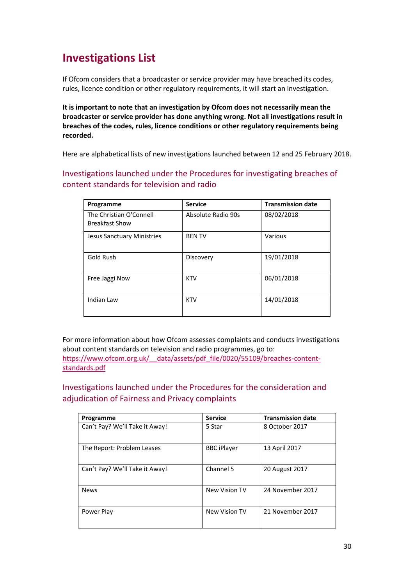# **Investigations List**

If Ofcom considers that a broadcaster or service provider may have breached its codes, rules, licence condition or other regulatory requirements, it will start an investigation.

**It is important to note that an investigation by Ofcom does not necessarily mean the broadcaster or service provider has done anything wrong. Not all investigations result in breaches of the codes, rules, licence conditions or other regulatory requirements being recorded.**

Here are alphabetical lists of new investigations launched between 12 and 25 February 2018.

Investigations launched under the Procedures for investigating breaches of content standards for television and radio

| Programme                         | <b>Service</b>     | <b>Transmission date</b> |
|-----------------------------------|--------------------|--------------------------|
| The Christian O'Connell           | Absolute Radio 90s | 08/02/2018               |
| <b>Breakfast Show</b>             |                    |                          |
| <b>Jesus Sanctuary Ministries</b> | <b>BENTV</b>       | Various                  |
|                                   |                    |                          |
| Gold Rush                         | Discovery          | 19/01/2018               |
|                                   |                    |                          |
| Free Jaggi Now                    | <b>KTV</b>         | 06/01/2018               |
|                                   |                    |                          |
| Indian Law                        | <b>KTV</b>         | 14/01/2018               |
|                                   |                    |                          |

For more information about how Ofcom assesses complaints and conducts investigations about content standards on television and radio programmes, go to: https://www.ofcom.org.uk/ data/assets/pdf file/0020/55109/breaches-content[standards.pdf](https://www.ofcom.org.uk/__data/assets/pdf_file/0020/55109/breaches-content-standards.pdf)

Investigations launched under the Procedures for the consideration and adjudication of Fairness and Privacy complaints

| Programme                      | <b>Service</b>     | <b>Transmission date</b> |
|--------------------------------|--------------------|--------------------------|
| Can't Pay? We'll Take it Away! | 5 Star             | 8 October 2017           |
| The Report: Problem Leases     | <b>BBC iPlayer</b> | 13 April 2017            |
| Can't Pay? We'll Take it Away! | Channel 5          | 20 August 2017           |
| <b>News</b>                    | New Vision TV      | 24 November 2017         |
| Power Play                     | New Vision TV      | 21 November 2017         |